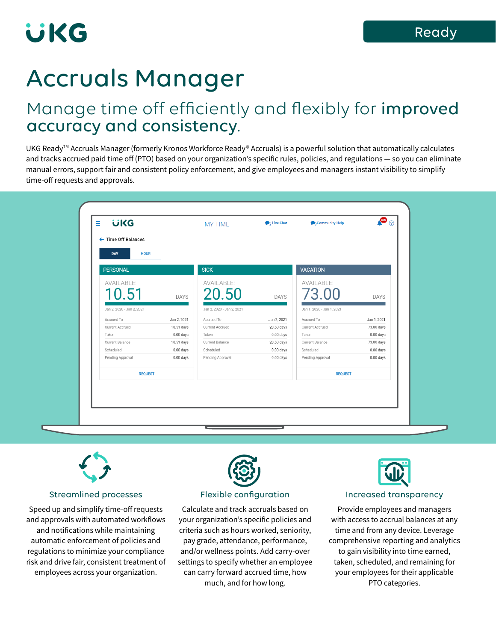# UKG

## Accruals Manager

### Manage time off efficiently and flexibly for improved accuracy and consistency.

UKG ReadyTM Accruals Manager (formerly Kronos Workforce Ready® Accruals) is a powerful solution that automatically calculates and tracks accrued paid time off (PTO) based on your organization's specific rules, policies, and regulations — so you can eliminate manual errors, support fair and consistent policy enforcement, and give employees and managers instant visibility to simplify time-off requests and approvals.



#### Streamlined processes

Speed up and simplify time-off requests and approvals with automated workflows and notifications while maintaining automatic enforcement of policies and regulations to minimize your compliance risk and drive fair, consistent treatment of employees across your organization.



#### Flexible configuration

Calculate and track accruals based on your organization's specific policies and criteria such as hours worked, seniority, pay grade, attendance, performance, and/or wellness points. Add carry-over settings to specify whether an employee can carry forward accrued time, how much, and for how long.



#### Increased transparency

Provide employees and managers with access to accrual balances at any time and from any device. Leverage comprehensive reporting and analytics to gain visibility into time earned, taken, scheduled, and remaining for your employees for their applicable PTO categories.